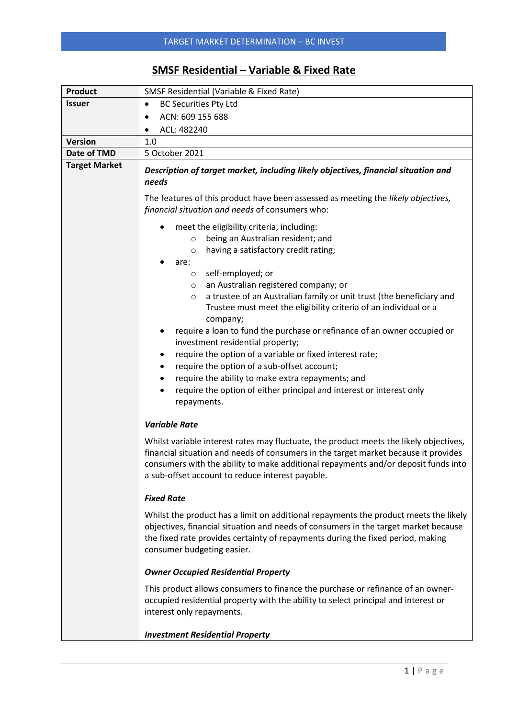## **SMSF Residential – Variable & Fixed Rate**

| <b>Product</b>       | <b>SMSF Residential (Variable &amp; Fixed Rate)</b>                                                                                                                                                                                                                                                                                                                                                                                                                                                                                                                                                                                                                                                                                                                                         |  |  |  |  |  |
|----------------------|---------------------------------------------------------------------------------------------------------------------------------------------------------------------------------------------------------------------------------------------------------------------------------------------------------------------------------------------------------------------------------------------------------------------------------------------------------------------------------------------------------------------------------------------------------------------------------------------------------------------------------------------------------------------------------------------------------------------------------------------------------------------------------------------|--|--|--|--|--|
| <b>Issuer</b>        | <b>BC Securities Pty Ltd</b><br>$\bullet$                                                                                                                                                                                                                                                                                                                                                                                                                                                                                                                                                                                                                                                                                                                                                   |  |  |  |  |  |
|                      | ACN: 609 155 688<br>$\bullet$                                                                                                                                                                                                                                                                                                                                                                                                                                                                                                                                                                                                                                                                                                                                                               |  |  |  |  |  |
|                      | ACL: 482240<br>٠                                                                                                                                                                                                                                                                                                                                                                                                                                                                                                                                                                                                                                                                                                                                                                            |  |  |  |  |  |
| <b>Version</b>       | 1.0                                                                                                                                                                                                                                                                                                                                                                                                                                                                                                                                                                                                                                                                                                                                                                                         |  |  |  |  |  |
| Date of TMD          | 5 October 2021                                                                                                                                                                                                                                                                                                                                                                                                                                                                                                                                                                                                                                                                                                                                                                              |  |  |  |  |  |
| <b>Target Market</b> | Description of target market, including likely objectives, financial situation and<br>needs<br>The features of this product have been assessed as meeting the likely objectives,                                                                                                                                                                                                                                                                                                                                                                                                                                                                                                                                                                                                            |  |  |  |  |  |
|                      | financial situation and needs of consumers who:                                                                                                                                                                                                                                                                                                                                                                                                                                                                                                                                                                                                                                                                                                                                             |  |  |  |  |  |
|                      | meet the eligibility criteria, including:<br>being an Australian resident; and<br>$\circ$<br>having a satisfactory credit rating;<br>$\circ$<br>are:<br>self-employed; or<br>$\circ$<br>an Australian registered company; or<br>$\circ$<br>a trustee of an Australian family or unit trust (the beneficiary and<br>$\circ$<br>Trustee must meet the eligibility criteria of an individual or a<br>company;<br>require a loan to fund the purchase or refinance of an owner occupied or<br>investment residential property;<br>require the option of a variable or fixed interest rate;<br>٠<br>require the option of a sub-offset account;<br>٠<br>require the ability to make extra repayments; and<br>require the option of either principal and interest or interest only<br>repayments. |  |  |  |  |  |
|                      | <b>Variable Rate</b>                                                                                                                                                                                                                                                                                                                                                                                                                                                                                                                                                                                                                                                                                                                                                                        |  |  |  |  |  |
|                      | Whilst variable interest rates may fluctuate, the product meets the likely objectives,<br>financial situation and needs of consumers in the target market because it provides<br>consumers with the ability to make additional repayments and/or deposit funds into<br>a sub-offset account to reduce interest payable.                                                                                                                                                                                                                                                                                                                                                                                                                                                                     |  |  |  |  |  |
|                      | <b>Fixed Rate</b>                                                                                                                                                                                                                                                                                                                                                                                                                                                                                                                                                                                                                                                                                                                                                                           |  |  |  |  |  |
|                      | Whilst the product has a limit on additional repayments the product meets the likely<br>objectives, financial situation and needs of consumers in the target market because<br>the fixed rate provides certainty of repayments during the fixed period, making<br>consumer budgeting easier.                                                                                                                                                                                                                                                                                                                                                                                                                                                                                                |  |  |  |  |  |
|                      | <b>Owner Occupied Residential Property</b>                                                                                                                                                                                                                                                                                                                                                                                                                                                                                                                                                                                                                                                                                                                                                  |  |  |  |  |  |
|                      | This product allows consumers to finance the purchase or refinance of an owner-<br>occupied residential property with the ability to select principal and interest or<br>interest only repayments.                                                                                                                                                                                                                                                                                                                                                                                                                                                                                                                                                                                          |  |  |  |  |  |
|                      | <b>Investment Residential Property</b>                                                                                                                                                                                                                                                                                                                                                                                                                                                                                                                                                                                                                                                                                                                                                      |  |  |  |  |  |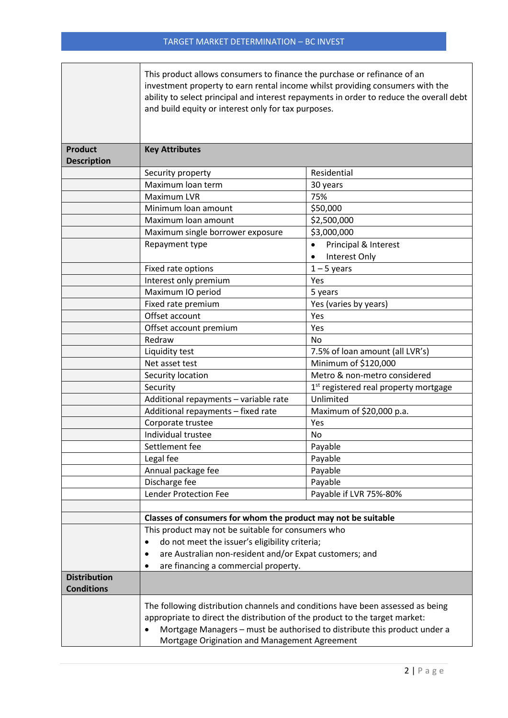|                                          | This product allows consumers to finance the purchase or refinance of an<br>investment property to earn rental income whilst providing consumers with the<br>and build equity or interest only for tax purposes.                                                                            | ability to select principal and interest repayments in order to reduce the overall debt |  |  |  |  |
|------------------------------------------|---------------------------------------------------------------------------------------------------------------------------------------------------------------------------------------------------------------------------------------------------------------------------------------------|-----------------------------------------------------------------------------------------|--|--|--|--|
| <b>Product</b><br><b>Description</b>     | <b>Key Attributes</b>                                                                                                                                                                                                                                                                       |                                                                                         |  |  |  |  |
|                                          | Security property                                                                                                                                                                                                                                                                           | Residential                                                                             |  |  |  |  |
|                                          | Maximum loan term                                                                                                                                                                                                                                                                           | 30 years                                                                                |  |  |  |  |
|                                          | Maximum LVR                                                                                                                                                                                                                                                                                 | 75%                                                                                     |  |  |  |  |
|                                          | Minimum loan amount                                                                                                                                                                                                                                                                         | \$50,000                                                                                |  |  |  |  |
|                                          | Maximum loan amount                                                                                                                                                                                                                                                                         | \$2,500,000                                                                             |  |  |  |  |
|                                          | Maximum single borrower exposure                                                                                                                                                                                                                                                            | \$3,000,000                                                                             |  |  |  |  |
|                                          | Repayment type                                                                                                                                                                                                                                                                              | Principal & Interest<br>$\bullet$                                                       |  |  |  |  |
|                                          |                                                                                                                                                                                                                                                                                             | Interest Only<br>$\bullet$                                                              |  |  |  |  |
|                                          | Fixed rate options                                                                                                                                                                                                                                                                          | $1 - 5$ years                                                                           |  |  |  |  |
|                                          | Interest only premium                                                                                                                                                                                                                                                                       | Yes                                                                                     |  |  |  |  |
|                                          | Maximum IO period                                                                                                                                                                                                                                                                           | 5 years                                                                                 |  |  |  |  |
|                                          | Fixed rate premium                                                                                                                                                                                                                                                                          | Yes (varies by years)                                                                   |  |  |  |  |
|                                          | Offset account                                                                                                                                                                                                                                                                              | Yes                                                                                     |  |  |  |  |
|                                          | Offset account premium                                                                                                                                                                                                                                                                      | Yes                                                                                     |  |  |  |  |
|                                          | Redraw                                                                                                                                                                                                                                                                                      | <b>No</b>                                                                               |  |  |  |  |
|                                          | Liquidity test                                                                                                                                                                                                                                                                              | 7.5% of loan amount (all LVR's)                                                         |  |  |  |  |
|                                          | Net asset test                                                                                                                                                                                                                                                                              | Minimum of \$120,000                                                                    |  |  |  |  |
|                                          | Security location                                                                                                                                                                                                                                                                           | Metro & non-metro considered                                                            |  |  |  |  |
|                                          | Security                                                                                                                                                                                                                                                                                    | 1 <sup>st</sup> registered real property mortgage                                       |  |  |  |  |
|                                          | Additional repayments - variable rate                                                                                                                                                                                                                                                       | Unlimited                                                                               |  |  |  |  |
|                                          | Additional repayments - fixed rate                                                                                                                                                                                                                                                          | Maximum of \$20,000 p.a.                                                                |  |  |  |  |
|                                          | Corporate trustee                                                                                                                                                                                                                                                                           | Yes                                                                                     |  |  |  |  |
|                                          | Individual trustee                                                                                                                                                                                                                                                                          | No                                                                                      |  |  |  |  |
|                                          | Settlement fee                                                                                                                                                                                                                                                                              | Payable                                                                                 |  |  |  |  |
|                                          | Legal fee                                                                                                                                                                                                                                                                                   | Payable<br>Payable                                                                      |  |  |  |  |
|                                          | Annual package fee                                                                                                                                                                                                                                                                          |                                                                                         |  |  |  |  |
|                                          | Discharge fee                                                                                                                                                                                                                                                                               | Payable                                                                                 |  |  |  |  |
|                                          | <b>Lender Protection Fee</b><br>Payable if LVR 75%-80%                                                                                                                                                                                                                                      |                                                                                         |  |  |  |  |
|                                          | Classes of consumers for whom the product may not be suitable                                                                                                                                                                                                                               |                                                                                         |  |  |  |  |
|                                          | This product may not be suitable for consumers who                                                                                                                                                                                                                                          |                                                                                         |  |  |  |  |
|                                          | do not meet the issuer's eligibility criteria;<br>٠                                                                                                                                                                                                                                         |                                                                                         |  |  |  |  |
|                                          | are Australian non-resident and/or Expat customers; and<br>٠<br>are financing a commercial property.<br>$\bullet$                                                                                                                                                                           |                                                                                         |  |  |  |  |
|                                          |                                                                                                                                                                                                                                                                                             |                                                                                         |  |  |  |  |
| <b>Distribution</b><br><b>Conditions</b> |                                                                                                                                                                                                                                                                                             |                                                                                         |  |  |  |  |
|                                          | The following distribution channels and conditions have been assessed as being<br>appropriate to direct the distribution of the product to the target market:<br>Mortgage Managers - must be authorised to distribute this product under a<br>Mortgage Origination and Management Agreement |                                                                                         |  |  |  |  |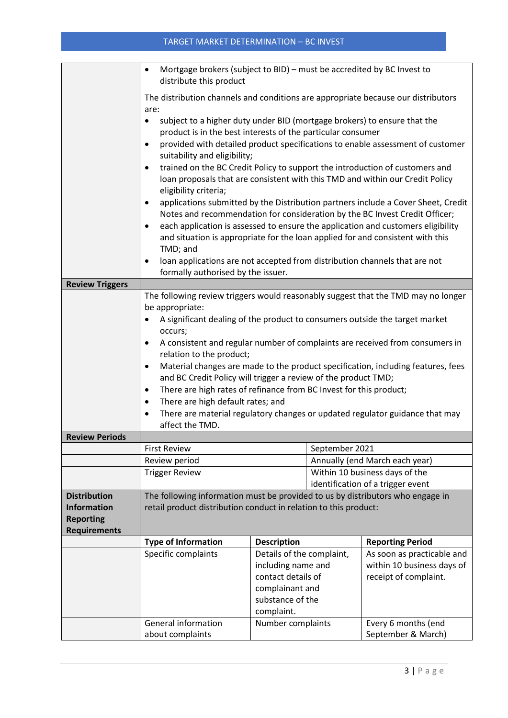## TARGET MARKET DETERMINATION – BC INVEST

|                                                                                        | Mortgage brokers (subject to BID) - must be accredited by BC Invest to<br>$\bullet$<br>distribute this product                                                                                                                                                                                                                                                                                                                                                                                                                                                                                                                                                                                                                                                                                                                                                                                                                                                                                                                                                                                    |                                                                                                                            |  |                                                       |  |
|----------------------------------------------------------------------------------------|---------------------------------------------------------------------------------------------------------------------------------------------------------------------------------------------------------------------------------------------------------------------------------------------------------------------------------------------------------------------------------------------------------------------------------------------------------------------------------------------------------------------------------------------------------------------------------------------------------------------------------------------------------------------------------------------------------------------------------------------------------------------------------------------------------------------------------------------------------------------------------------------------------------------------------------------------------------------------------------------------------------------------------------------------------------------------------------------------|----------------------------------------------------------------------------------------------------------------------------|--|-------------------------------------------------------|--|
|                                                                                        | The distribution channels and conditions are appropriate because our distributors                                                                                                                                                                                                                                                                                                                                                                                                                                                                                                                                                                                                                                                                                                                                                                                                                                                                                                                                                                                                                 |                                                                                                                            |  |                                                       |  |
|                                                                                        | are:<br>subject to a higher duty under BID (mortgage brokers) to ensure that the<br>$\bullet$<br>product is in the best interests of the particular consumer<br>provided with detailed product specifications to enable assessment of customer<br>$\bullet$                                                                                                                                                                                                                                                                                                                                                                                                                                                                                                                                                                                                                                                                                                                                                                                                                                       |                                                                                                                            |  |                                                       |  |
|                                                                                        | suitability and eligibility;<br>trained on the BC Credit Policy to support the introduction of customers and<br>$\bullet$<br>loan proposals that are consistent with this TMD and within our Credit Policy<br>eligibility criteria;                                                                                                                                                                                                                                                                                                                                                                                                                                                                                                                                                                                                                                                                                                                                                                                                                                                               |                                                                                                                            |  |                                                       |  |
|                                                                                        | applications submitted by the Distribution partners include a Cover Sheet, Credit<br>$\bullet$<br>Notes and recommendation for consideration by the BC Invest Credit Officer;<br>each application is assessed to ensure the application and customers eligibility<br>$\bullet$<br>and situation is appropriate for the loan applied for and consistent with this<br>TMD; and                                                                                                                                                                                                                                                                                                                                                                                                                                                                                                                                                                                                                                                                                                                      |                                                                                                                            |  |                                                       |  |
|                                                                                        | loan applications are not accepted from distribution channels that are not<br>$\bullet$<br>formally authorised by the issuer.                                                                                                                                                                                                                                                                                                                                                                                                                                                                                                                                                                                                                                                                                                                                                                                                                                                                                                                                                                     |                                                                                                                            |  |                                                       |  |
| <b>Review Triggers</b>                                                                 |                                                                                                                                                                                                                                                                                                                                                                                                                                                                                                                                                                                                                                                                                                                                                                                                                                                                                                                                                                                                                                                                                                   |                                                                                                                            |  |                                                       |  |
| <b>Review Periods</b><br><b>Distribution</b><br><b>Information</b><br><b>Reporting</b> | The following review triggers would reasonably suggest that the TMD may no longer<br>be appropriate:<br>A significant dealing of the product to consumers outside the target market<br>occurs;<br>A consistent and regular number of complaints are received from consumers in<br>$\bullet$<br>relation to the product;<br>Material changes are made to the product specification, including features, fees<br>$\bullet$<br>and BC Credit Policy will trigger a review of the product TMD;<br>There are high rates of refinance from BC Invest for this product;<br>$\bullet$<br>There are high default rates; and<br>$\bullet$<br>There are material regulatory changes or updated regulator guidance that may<br>$\bullet$<br>affect the TMD.<br><b>First Review</b><br>September 2021<br>Annually (end March each year)<br>Review period<br>Within 10 business days of the<br><b>Trigger Review</b><br>identification of a trigger event<br>The following information must be provided to us by distributors who engage in<br>retail product distribution conduct in relation to this product: |                                                                                                                            |  |                                                       |  |
| <b>Requirements</b>                                                                    |                                                                                                                                                                                                                                                                                                                                                                                                                                                                                                                                                                                                                                                                                                                                                                                                                                                                                                                                                                                                                                                                                                   | <b>Description</b>                                                                                                         |  |                                                       |  |
|                                                                                        | <b>Type of Information</b><br>Specific complaints                                                                                                                                                                                                                                                                                                                                                                                                                                                                                                                                                                                                                                                                                                                                                                                                                                                                                                                                                                                                                                                 |                                                                                                                            |  | <b>Reporting Period</b><br>As soon as practicable and |  |
|                                                                                        |                                                                                                                                                                                                                                                                                                                                                                                                                                                                                                                                                                                                                                                                                                                                                                                                                                                                                                                                                                                                                                                                                                   | Details of the complaint,<br>including name and<br>contact details of<br>complainant and<br>substance of the<br>complaint. |  | within 10 business days of                            |  |
|                                                                                        |                                                                                                                                                                                                                                                                                                                                                                                                                                                                                                                                                                                                                                                                                                                                                                                                                                                                                                                                                                                                                                                                                                   |                                                                                                                            |  | receipt of complaint.                                 |  |
|                                                                                        |                                                                                                                                                                                                                                                                                                                                                                                                                                                                                                                                                                                                                                                                                                                                                                                                                                                                                                                                                                                                                                                                                                   |                                                                                                                            |  |                                                       |  |
|                                                                                        | <b>General information</b>                                                                                                                                                                                                                                                                                                                                                                                                                                                                                                                                                                                                                                                                                                                                                                                                                                                                                                                                                                                                                                                                        | Number complaints                                                                                                          |  | Every 6 months (end                                   |  |
|                                                                                        | about complaints                                                                                                                                                                                                                                                                                                                                                                                                                                                                                                                                                                                                                                                                                                                                                                                                                                                                                                                                                                                                                                                                                  |                                                                                                                            |  | September & March)                                    |  |